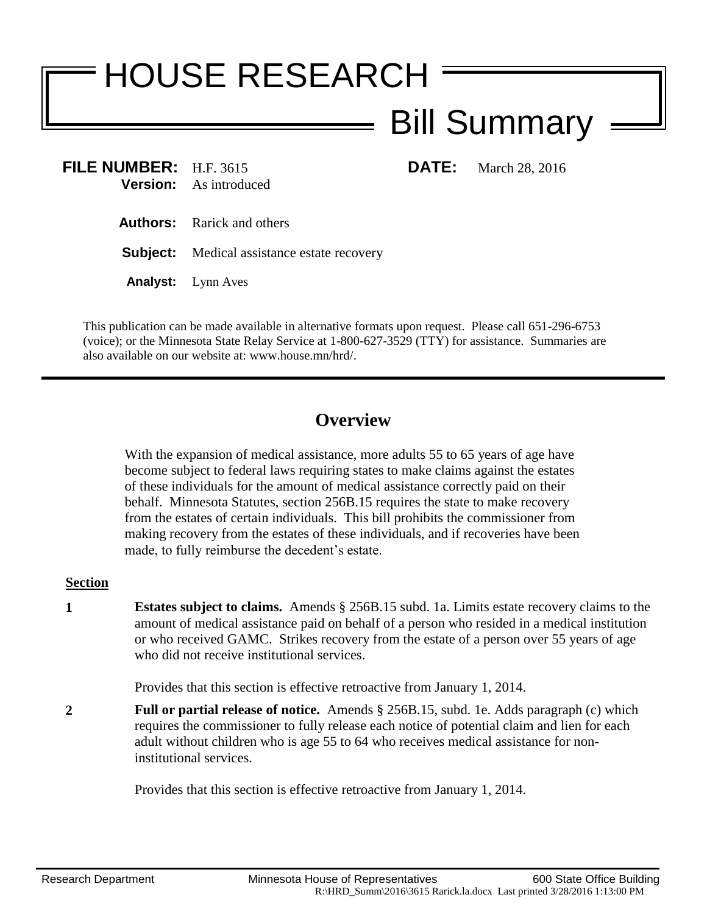## HOUSE RESEARCH Bill Summary

**FILE NUMBER:** H.F. 3615 **DATE:** March 28, 2016 **Version:** As introduced

- **Authors:** Rarick and others
- **Subject:** Medical assistance estate recovery
- **Analyst:** Lynn Aves

This publication can be made available in alternative formats upon request. Please call 651-296-6753 (voice); or the Minnesota State Relay Service at 1-800-627-3529 (TTY) for assistance. Summaries are also available on our website at: www.house.mn/hrd/.

## **Overview**

With the expansion of medical assistance, more adults 55 to 65 years of age have become subject to federal laws requiring states to make claims against the estates of these individuals for the amount of medical assistance correctly paid on their behalf. Minnesota Statutes, section 256B.15 requires the state to make recovery from the estates of certain individuals. This bill prohibits the commissioner from making recovery from the estates of these individuals, and if recoveries have been made, to fully reimburse the decedent's estate.

## **Section**

**1 Estates subject to claims.** Amends § 256B.15 subd. 1a. Limits estate recovery claims to the amount of medical assistance paid on behalf of a person who resided in a medical institution or who received GAMC. Strikes recovery from the estate of a person over 55 years of age who did not receive institutional services.

Provides that this section is effective retroactive from January 1, 2014.

**2 Full or partial release of notice.** Amends § 256B.15, subd. 1e. Adds paragraph (c) which requires the commissioner to fully release each notice of potential claim and lien for each adult without children who is age 55 to 64 who receives medical assistance for noninstitutional services.

Provides that this section is effective retroactive from January 1, 2014.